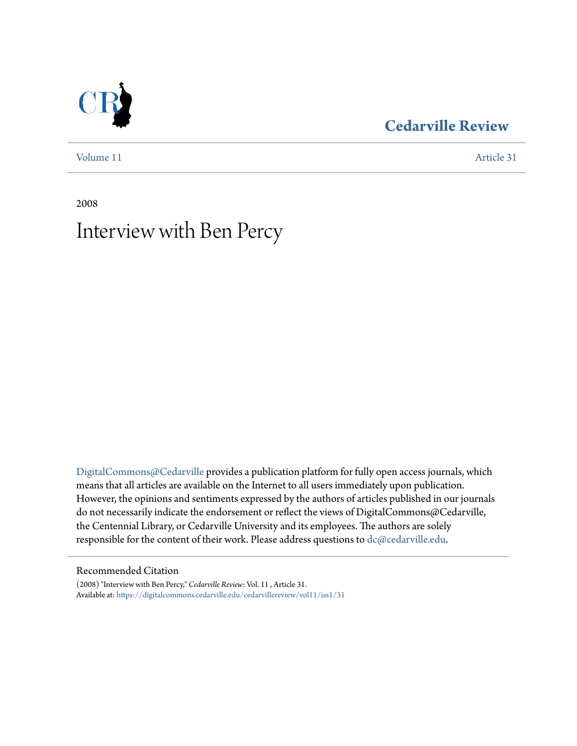### **[Cedarville Review](https://digitalcommons.cedarville.edu/cedarvillereview?utm_source=digitalcommons.cedarville.edu%2Fcedarvillereview%2Fvol11%2Fiss1%2F31&utm_medium=PDF&utm_campaign=PDFCoverPages)**

[Volume 11](https://digitalcommons.cedarville.edu/cedarvillereview/vol11?utm_source=digitalcommons.cedarville.edu%2Fcedarvillereview%2Fvol11%2Fiss1%2F31&utm_medium=PDF&utm_campaign=PDFCoverPages) [Article 31](https://digitalcommons.cedarville.edu/cedarvillereview/vol11/iss1/31?utm_source=digitalcommons.cedarville.edu%2Fcedarvillereview%2Fvol11%2Fiss1%2F31&utm_medium=PDF&utm_campaign=PDFCoverPages)

2008

# Interview with Ben Percy

[DigitalCommons@Cedarville](http://digitalcommons.cedarville.edu) provides a publication platform for fully open access journals, which means that all articles are available on the Internet to all users immediately upon publication. However, the opinions and sentiments expressed by the authors of articles published in our journals do not necessarily indicate the endorsement or reflect the views of DigitalCommons@Cedarville, the Centennial Library, or Cedarville University and its employees. The authors are solely responsible for the content of their work. Please address questions to [dc@cedarville.edu](mailto:dc@cedarville.edu).

#### Recommended Citation

(2008) "Interview with Ben Percy," *Cedarville Review*: Vol. 11 , Article 31. Available at: [https://digitalcommons.cedarville.edu/cedarvillereview/vol11/iss1/31](https://digitalcommons.cedarville.edu/cedarvillereview/vol11/iss1/31?utm_source=digitalcommons.cedarville.edu%2Fcedarvillereview%2Fvol11%2Fiss1%2F31&utm_medium=PDF&utm_campaign=PDFCoverPages)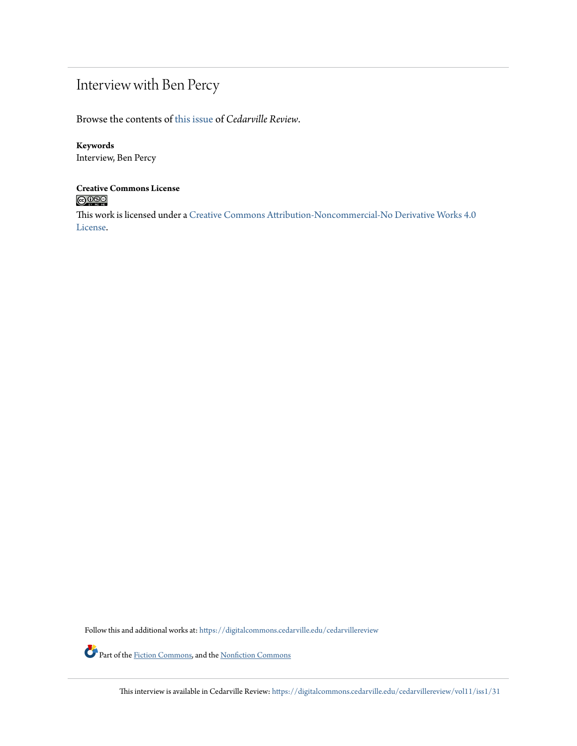## Interview with Ben Percy

Browse the contents of [this issue](https://digitalcommons.cedarville.edu/cedarvillereview/vol11/iss1) of *Cedarville Review*.

### **Keywords**

Interview, Ben Percy

# **Creative Commons License**

This work is licensed under a [Creative Commons Attribution-Noncommercial-No Derivative Works 4.0](http://creativecommons.org/licenses/by-nc-nd/4.0/) [License.](http://creativecommons.org/licenses/by-nc-nd/4.0/)

Follow this and additional works at: [https://digitalcommons.cedarville.edu/cedarvillereview](https://digitalcommons.cedarville.edu/cedarvillereview?utm_source=digitalcommons.cedarville.edu%2Fcedarvillereview%2Fvol11%2Fiss1%2F31&utm_medium=PDF&utm_campaign=PDFCoverPages)

Part of the <u>Fiction Commons</u>, and the <u>[Nonfiction Commons](http://network.bepress.com/hgg/discipline/1152?utm_source=digitalcommons.cedarville.edu%2Fcedarvillereview%2Fvol11%2Fiss1%2F31&utm_medium=PDF&utm_campaign=PDFCoverPages)</u>

This interview is available in Cedarville Review: [https://digitalcommons.cedarville.edu/cedarvillereview/vol11/iss1/31](https://digitalcommons.cedarville.edu/cedarvillereview/vol11/iss1/31?utm_source=digitalcommons.cedarville.edu%2Fcedarvillereview%2Fvol11%2Fiss1%2F31&utm_medium=PDF&utm_campaign=PDFCoverPages)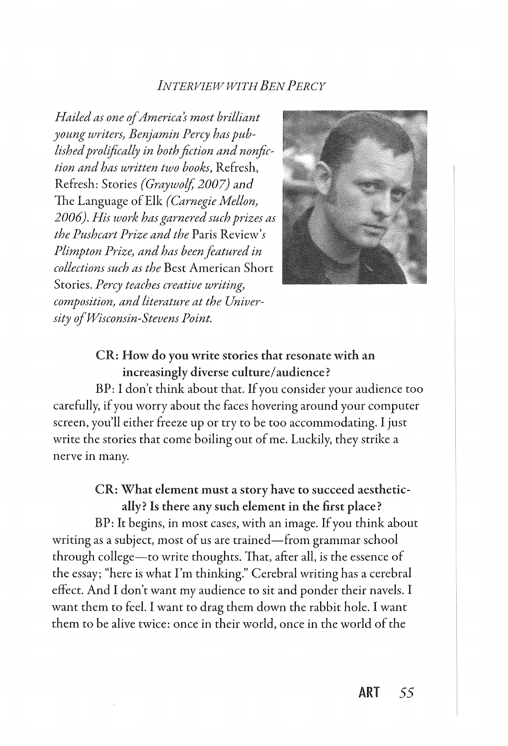### *INTERVIEW WITH BEN PERCY*

*Hailed as one of America's most brilliant young writers} Benjamin Percy has published prolifically in both fiction and nonfiction and has written two books,* Refresh, Refresh: Stories *(Graywolj 2007) and*  The Language of Elk *(Carnegie Mellon} 2006). His work has garnered such prizes as the Pushcart Prize and the* Paris Review's *Plimpton Prize} and has been featured in collections such as the* Best American Short Stories. *Percy teaches creative writing} composition} and literature at the University of Wisconsin-Stevens Point.* 



### CR: How do you write stories that resonate with an increasingly diverse culture/ audience?

BP: I don't think about that. If you consider your audience too carefully, if you worry about the faces hovering around your computer screen, you'll either freeze up or try to be too accommodating. I just write the stories that come boiling out of me. Luckily, they strike a nerve in many.

### CR: What element must a story have to succeed aesthetically? Is there any such element in the first place?

BP: It begins, in most cases, with an image. If you think about writing as a subject, most of us are trained-from grammar school through college-to write thoughts. That, after all, is the essence of the essay; "here is what I'm thinking." Cerebral writing has a cerebral effect. And I don't want my audience to sit and ponder their navels. I want them to feel. I want to drag them down the rabbit hole. I want them to be alive twice: once in their world, once in the world of the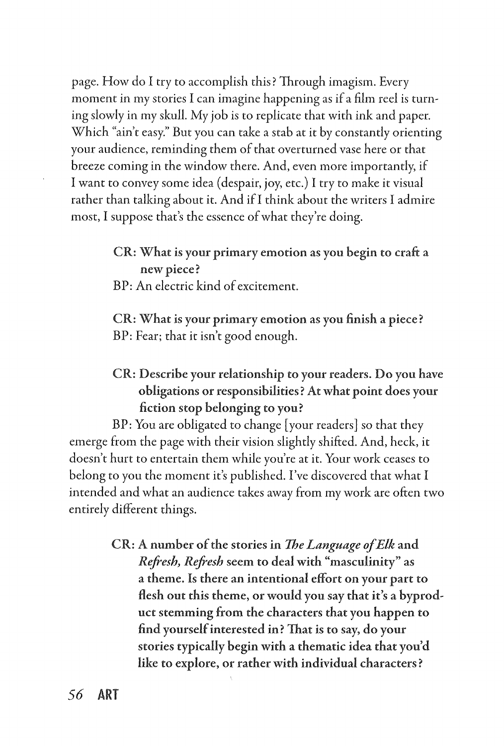page. How do I try to accomplish this? Through imagism. Every moment in my stories I can imagine happening as if a film reel is turning slowly in my skull. My job is to replicate that with ink and paper. Which "ain't easy." But you can take a stab at it by constantly orienting your audience, reminding them of that overturned vase here or that breeze coming in the window there. And, even more importantly, if I want to convey some idea (despair, joy, etc.) I try to make it visual rather than talking about it. And if I think about the writers I admire most, I suppose that's the essence of what they're doing.

> CR: What is your primary emotion as you begin to craft a new piece?

BP: An electric kind of excitement.

CR: What is your primary emotion as you finish a piece? BP: Fear; that it isn't good enough.

### CR: Describe your relationship to your readers. Do you have obligations or responsibilities? At what point does your fiction stop belonging to you?

BP: You are obligated to change [your readers] so that they emerge from the page with their vision slightly shifted. And, heck, it doesn't hurt to entertain them while you're at it. Your work ceases to belong to you the moment it's published. I've discovered that what I intended and what an audience takes away from my work are often two entirely different things.

> CR: A number of the stories in *The Language of Elk* and *Refresh, Refresh* seem to deal with "masculinity" as a theme. Is there an intentional effort on your part to flesh out this theme, or would you say that it's a byproduct stemming from the characters that you happen to find yourself interested in? That is to say, do your stories typically begin with a thematic idea that you'd like to explore, or rather with individual characters?